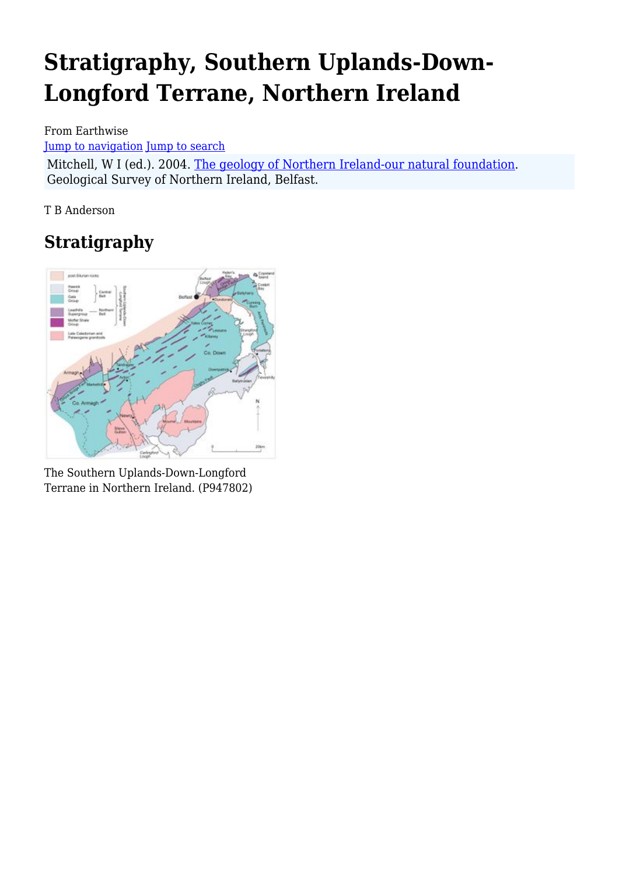# **Stratigraphy, Southern Uplands-Down-Longford Terrane, Northern Ireland**

From Earthwise

[Jump to navigation](#page--1-0) [Jump to search](#page--1-0)

Mitchell, W I (ed.). 2004. [The geology of Northern Ireland-our natural foundation](http://earthwise.bgs.ac.uk/index.php/Geology_of_Northern_Ireland:_our_natural_foundation). Geological Survey of Northern Ireland, Belfast.

T B Anderson

# **Stratigraphy**



The Southern Uplands-Down-Longford Terrane in Northern Ireland. (P947802)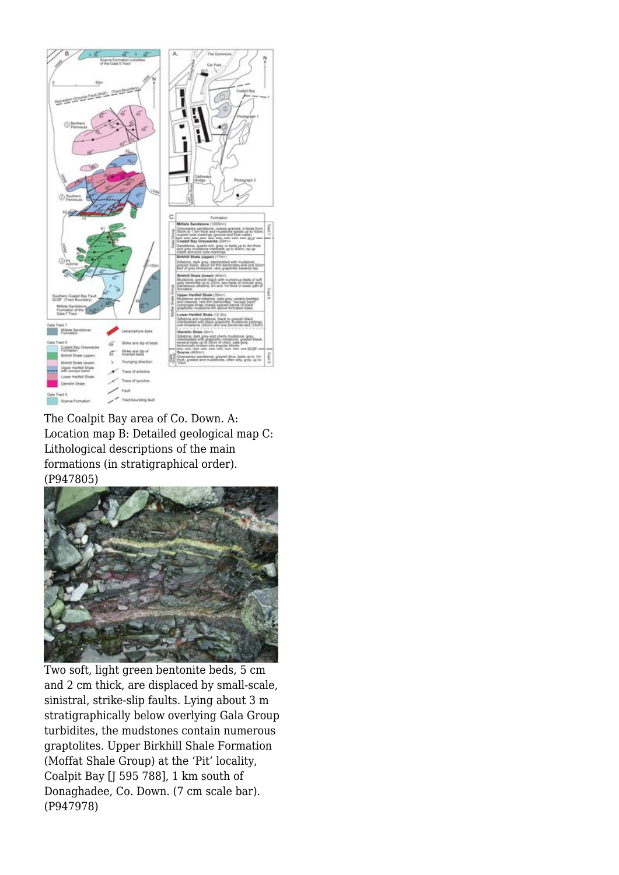

The Coalpit Bay area of Co. Down. A: Location map B: Detailed geological map C: Lithological descriptions of the main formations (in stratigraphical order). (P947805)



Two soft, light green bentonite beds, 5 cm and 2 cm thick, are displaced by small-scale, sinistral, strike-slip faults. Lying about 3 m stratigraphically below overlying Gala Group turbidites, the mudstones contain numerous graptolites. Upper Birkhill Shale Formation (Moffat Shale Group) at the 'Pit' locality, Coalpit Bay [J 595 788], 1 km south of Donaghadee, Co. Down. (7 cm scale bar). (P947978)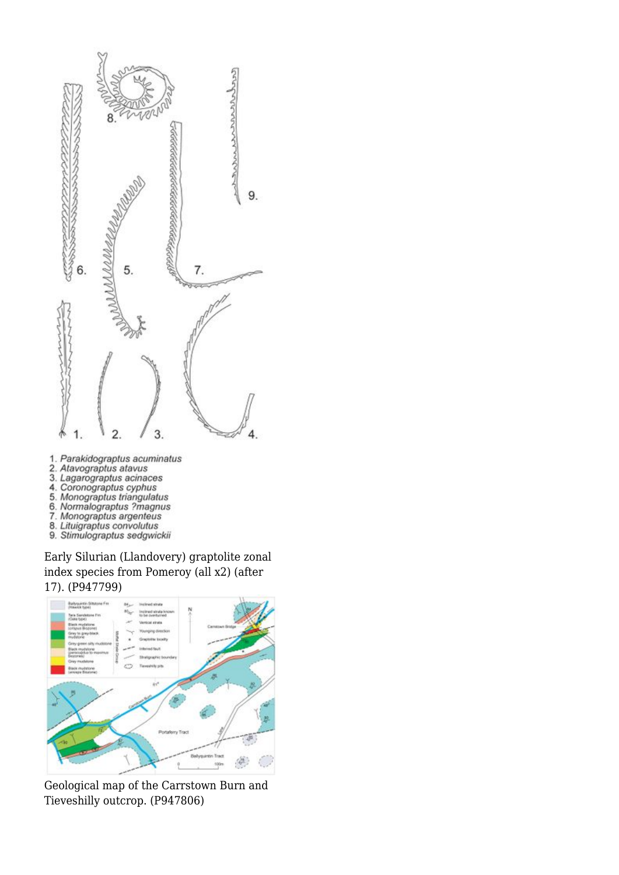

- 1. Parakidograptus acuminatus<br>2. Atavograptus atavus<br>3. Lagarograptus acinaces
- 
- 
- 
- 4. Coronographus comeces<br>5. Monographus triangulatus<br>6. Normalographus ?magnus
- 
- 
- 3. Nonnanograpus : magnus<br>7. Monograptus argenteus<br>8. Lituigraptus convolutus<br>9. Stimulograptus sedgwickii

#### Early Silurian (Llandovery) graptolite zonal index species from Pomeroy (all x2) (after 17). (P947799)



Geological map of the Carrstown Burn and Tieveshilly outcrop. (P947806)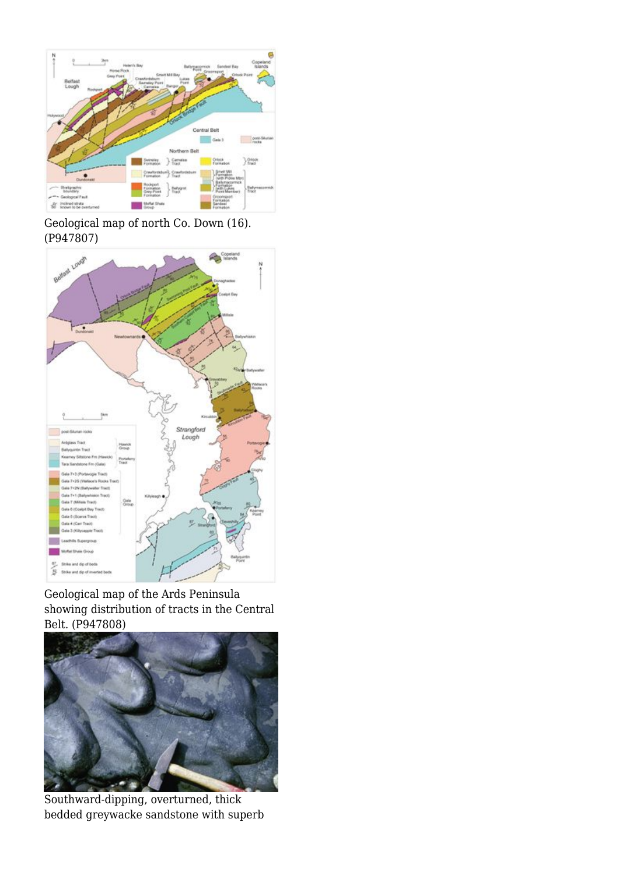

Geological map of north Co. Down (16). (P947807)



Geological map of the Ards Peninsula showing distribution of tracts in the Central Belt. (P947808)



Southward-dipping, overturned, thick bedded greywacke sandstone with superb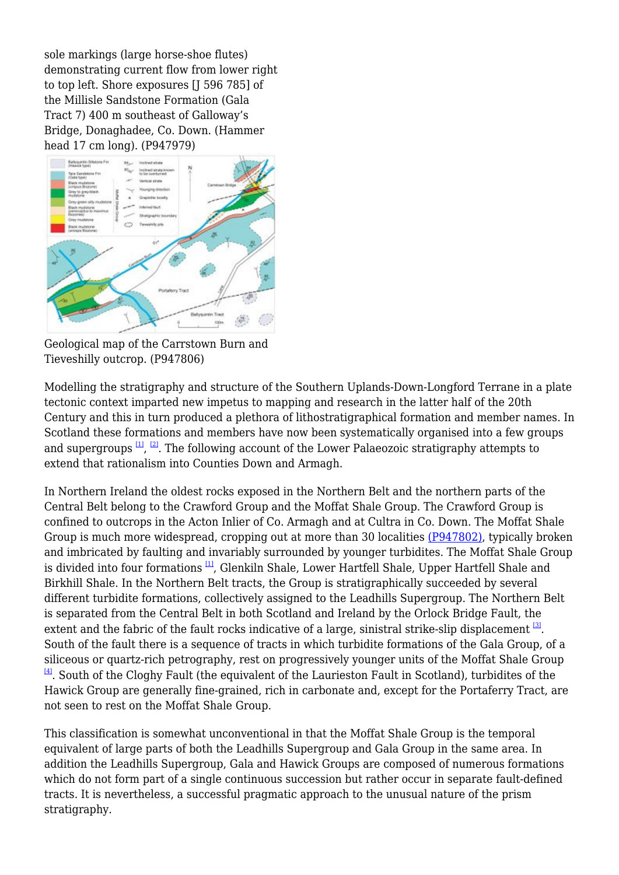sole markings (large horse-shoe flutes) demonstrating current flow from lower right to top left. Shore exposures [J 596 785] of the Millisle Sandstone Formation (Gala Tract 7) 400 m southeast of Galloway's Bridge, Donaghadee, Co. Down. (Hammer head 17 cm long). (P947979)



Geological map of the Carrstown Burn and Tieveshilly outcrop. (P947806)

Modelling the stratigraphy and structure of the Southern Uplands-Down-Longford Terrane in a plate tectonic context imparted new impetus to mapping and research in the latter half of the 20th Century and this in turn produced a plethora of lithostratigraphical formation and member names. In Scotland these formations and members have now been systematically organised into a few groups and supergroups  $^{[11]}$ ,  $^{[2]}$  $^{[2]}$  $^{[2]}$ . The following account of the Lower Palaeozoic stratigraphy attempts to extend that rationalism into Counties Down and Armagh.

In Northern Ireland the oldest rocks exposed in the Northern Belt and the northern parts of the Central Belt belong to the Crawford Group and the Moffat Shale Group. The Crawford Group is confined to outcrops in the Acton Inlier of Co. Armagh and at Cultra in Co. Down. The Moffat Shale Group is much more widespread, cropping out at more than 30 localities [\(P947802\),](http://earthwise.bgs.ac.uk/images/5/5e/P947802.jpg) typically broken and imbricated by faulting and invariably surrounded by younger turbidites. The Moffat Shale Group is divided into four formations  $\frac{11}{2}$ , Glenkiln Shale, Lower Hartfell Shale, Upper Hartfell Shale and Birkhill Shale. In the Northern Belt tracts, the Group is stratigraphically succeeded by several different turbidite formations, collectively assigned to the Leadhills Supergroup. The Northern Belt is separated from the Central Belt in both Scotland and Ireland by the Orlock Bridge Fault, the extent and the fabric of the fault rocks indicative of a large, sinistral strike-slip displacement  $^{[3]}$  $^{[3]}$  $^{[3]}$ . South of the fault there is a sequence of tracts in which turbidite formations of the Gala Group, of a siliceous or quartz-rich petrography, rest on progressively younger units of the Moffat Shale Group [\[4\]](#page--1-0). South of the Cloghy Fault (the equivalent of the Laurieston Fault in Scotland), turbidites of the Hawick Group are generally fine-grained, rich in carbonate and, except for the Portaferry Tract, are not seen to rest on the Moffat Shale Group.

This classification is somewhat unconventional in that the Moffat Shale Group is the temporal equivalent of large parts of both the Leadhills Supergroup and Gala Group in the same area. In addition the Leadhills Supergroup, Gala and Hawick Groups are composed of numerous formations which do not form part of a single continuous succession but rather occur in separate fault-defined tracts. It is nevertheless, a successful pragmatic approach to the unusual nature of the prism stratigraphy.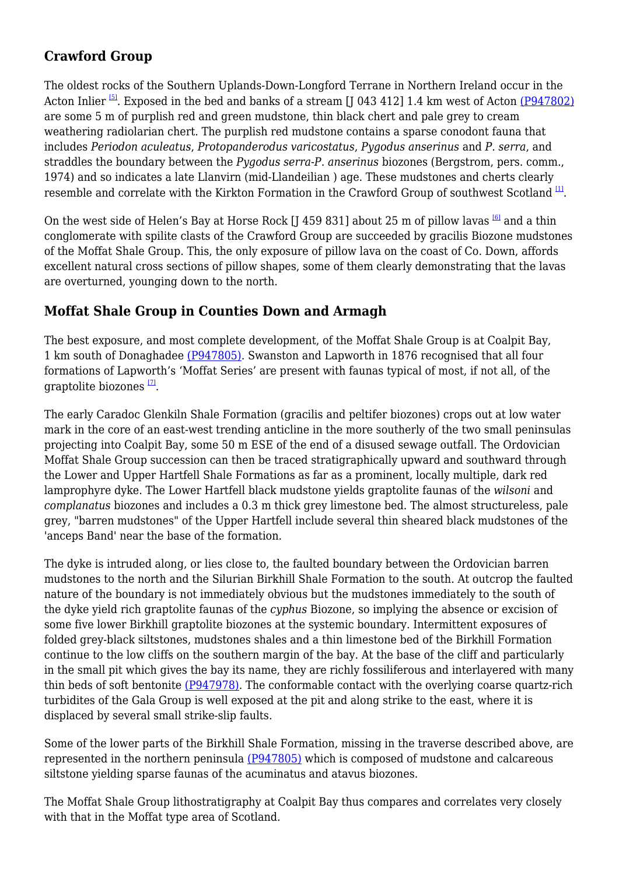## **Crawford Group**

The oldest rocks of the Southern Uplands-Down-Longford Terrane in Northern Ireland occur in the Acton Inlier <sup>[\[5\]](#page--1-0)</sup>. Exposed in the bed and banks of a stream [J 043 412] 1.4 km west of Acton [\(P947802\)](http://earthwise.bgs.ac.uk/images/5/5e/P947802.jpg) are some 5 m of purplish red and green mudstone, thin black chert and pale grey to cream weathering radiolarian chert. The purplish red mudstone contains a sparse conodont fauna that includes *Periodon aculeatus*, *Protopanderodus varicostatus*, *Pygodus anserinus* and *P. serra*, and straddles the boundary between the *Pygodus serra*-*P. anserinus* biozones (Bergstrom, pers. comm., 1974) and so indicates a late Llanvirn (mid-Llandeilian ) age. These mudstones and cherts clearly resemble and correlate with the Kirkton Formation in the Crawford Group of southwest Scotland  $^{\text{11}}$ .

On the west side of Helen's Bay at Horse Rock [J 459 831] about 25 m of pillow lavas  $^{[6]}$  $^{[6]}$  $^{[6]}$  and a thin conglomerate with spilite clasts of the Crawford Group are succeeded by gracilis Biozone mudstones of the Moffat Shale Group. This, the only exposure of pillow lava on the coast of Co. Down, affords excellent natural cross sections of pillow shapes, some of them clearly demonstrating that the lavas are overturned, younging down to the north.

## **Moffat Shale Group in Counties Down and Armagh**

The best exposure, and most complete development, of the Moffat Shale Group is at Coalpit Bay, 1 km south of Donaghadee [\(P947805\)](http://earthwise.bgs.ac.uk/images/c/c3/P947805.jpg). Swanston and Lapworth in 1876 recognised that all four formations of Lapworth's 'Moffat Series' are present with faunas typical of most, if not all, of the graptolite biozones  $^{12}$ .

The early Caradoc Glenkiln Shale Formation (gracilis and peltifer biozones) crops out at low water mark in the core of an east-west trending anticline in the more southerly of the two small peninsulas projecting into Coalpit Bay, some 50 m ESE of the end of a disused sewage outfall. The Ordovician Moffat Shale Group succession can then be traced stratigraphically upward and southward through the Lower and Upper Hartfell Shale Formations as far as a prominent, locally multiple, dark red lamprophyre dyke. The Lower Hartfell black mudstone yields graptolite faunas of the *wilsoni* and *complanatus* biozones and includes a 0.3 m thick grey limestone bed. The almost structureless, pale grey, "barren mudstones" of the Upper Hartfell include several thin sheared black mudstones of the 'anceps Band' near the base of the formation.

The dyke is intruded along, or lies close to, the faulted boundary between the Ordovician barren mudstones to the north and the Silurian Birkhill Shale Formation to the south. At outcrop the faulted nature of the boundary is not immediately obvious but the mudstones immediately to the south of the dyke yield rich graptolite faunas of the *cyphus* Biozone, so implying the absence or excision of some five lower Birkhill graptolite biozones at the systemic boundary. Intermittent exposures of folded grey-black siltstones, mudstones shales and a thin limestone bed of the Birkhill Formation continue to the low cliffs on the southern margin of the bay. At the base of the cliff and particularly in the small pit which gives the bay its name, they are richly fossiliferous and interlayered with many thin beds of soft bentonite [\(P947978\)](http://earthwise.bgs.ac.uk/images/6/63/P947978.jpg). The conformable contact with the overlying coarse quartz-rich turbidites of the Gala Group is well exposed at the pit and along strike to the east, where it is displaced by several small strike-slip faults.

Some of the lower parts of the Birkhill Shale Formation, missing in the traverse described above, are represented in the northern peninsula [\(P947805\)](http://earthwise.bgs.ac.uk/images/c/c3/P947805.jpg) which is composed of mudstone and calcareous siltstone yielding sparse faunas of the acuminatus and atavus biozones.

The Moffat Shale Group lithostratigraphy at Coalpit Bay thus compares and correlates very closely with that in the Moffat type area of Scotland.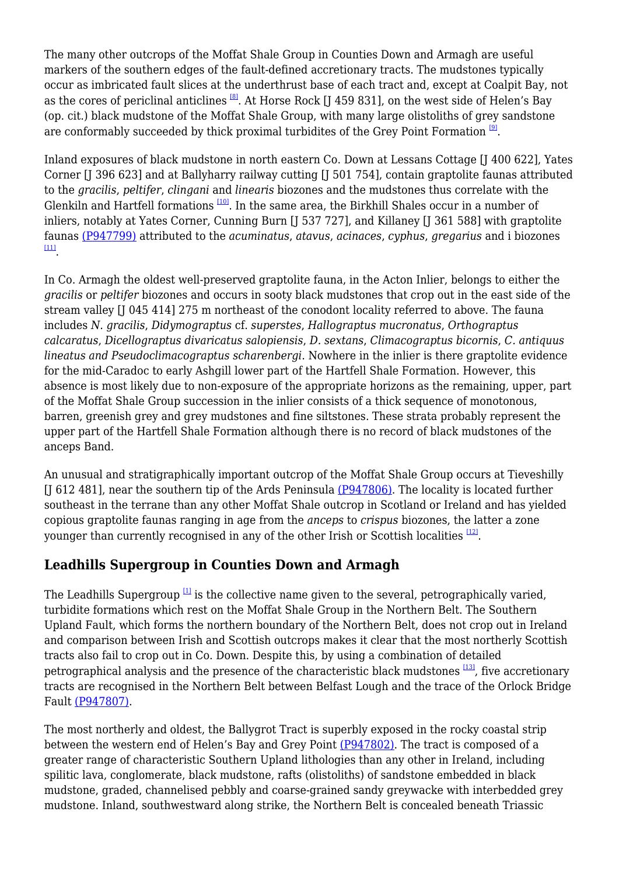The many other outcrops of the Moffat Shale Group in Counties Down and Armagh are useful markers of the southern edges of the fault-defined accretionary tracts. The mudstones typically occur as imbricated fault slices at the underthrust base of each tract and, except at Coalpit Bay, not as the cores of periclinal anticlines <sup>[\[8\]](#page--1-0)</sup>. At Horse Rock [J 459 831], on the west side of Helen's Bay (op. cit.) black mudstone of the Moffat Shale Group, with many large olistoliths of grey sandstone are conformably succeeded by thick proximal turbidites of the Grey Point Formation  $^{\text{\tiny{[9]}}}$  $^{\text{\tiny{[9]}}}$  $^{\text{\tiny{[9]}}}$ .

Inland exposures of black mudstone in north eastern Co. Down at Lessans Cottage [J 400 622], Yates Corner [J 396 623] and at Ballyharry railway cutting [J 501 754], contain graptolite faunas attributed to the *gracilis*, *peltifer*, *clingani* and *linearis* biozones and the mudstones thus correlate with the Glenkiln and Hartfell formations  $\frac{100}{100}$ . In the same area, the Birkhill Shales occur in a number of inliers, notably at Yates Corner, Cunning Burn [J 537 727], and Killaney [J 361 588] with graptolite faunas [\(P947799\)](http://earthwise.bgs.ac.uk/images/f/f0/P947799.jpg) attributed to the *acuminatus*, *atavus*, *acinaces*, *cyphus*, *gregarius* and i biozones [\[11\]](#page--1-0) .

In Co. Armagh the oldest well-preserved graptolite fauna, in the Acton Inlier, belongs to either the *gracilis* or *peltifer* biozones and occurs in sooty black mudstones that crop out in the east side of the stream valley [J 045 414] 275 m northeast of the conodont locality referred to above. The fauna includes *N. gracilis*, *Didymograptus* cf. *superstes*, *Hallograptus mucronatus*, *Orthograptus calcaratus*, *Dicellograptus divaricatus salopiensis*, *D. sextans*, *Climacograptus bicornis*, *C. antiquus lineatus and Pseudoclimacograptus scharenbergi*. Nowhere in the inlier is there graptolite evidence for the mid-Caradoc to early Ashgill lower part of the Hartfell Shale Formation. However, this absence is most likely due to non-exposure of the appropriate horizons as the remaining, upper, part of the Moffat Shale Group succession in the inlier consists of a thick sequence of monotonous, barren, greenish grey and grey mudstones and fine siltstones. These strata probably represent the upper part of the Hartfell Shale Formation although there is no record of black mudstones of the anceps Band.

An unusual and stratigraphically important outcrop of the Moffat Shale Group occurs at Tieveshilly [J 612 481], near the southern tip of the Ards Peninsula [\(P947806\)](http://earthwise.bgs.ac.uk/images/9/9d/P947806.jpg). The locality is located further southeast in the terrane than any other Moffat Shale outcrop in Scotland or Ireland and has yielded copious graptolite faunas ranging in age from the *anceps* to *crispus* biozones, the latter a zone younger than currently recognised in any of the other Irish or Scottish localities  $^{[12]}$  $^{[12]}$  $^{[12]}$ .

### **Leadhills Supergroup in Counties Down and Armagh**

The Leadhills Supergroup  $\mathbb{L}$  is the collective name given to the several, petrographically varied, turbidite formations which rest on the Moffat Shale Group in the Northern Belt. The Southern Upland Fault, which forms the northern boundary of the Northern Belt, does not crop out in Ireland and comparison between Irish and Scottish outcrops makes it clear that the most northerly Scottish tracts also fail to crop out in Co. Down. Despite this, by using a combination of detailed petrographical analysis and the presence of the characteristic black mudstones [\[13\]](#page--1-0), five accretionary tracts are recognised in the Northern Belt between Belfast Lough and the trace of the Orlock Bridge Fault [\(P947807\)](http://earthwise.bgs.ac.uk/images/6/64/P947807.jpg).

The most northerly and oldest, the Ballygrot Tract is superbly exposed in the rocky coastal strip between the western end of Helen's Bay and Grey Point [\(P947802\)](http://earthwise.bgs.ac.uk/images/5/5e/P947802.jpg). The tract is composed of a greater range of characteristic Southern Upland lithologies than any other in Ireland, including spilitic lava, conglomerate, black mudstone, rafts (olistoliths) of sandstone embedded in black mudstone, graded, channelised pebbly and coarse-grained sandy greywacke with interbedded grey mudstone. Inland, southwestward along strike, the Northern Belt is concealed beneath Triassic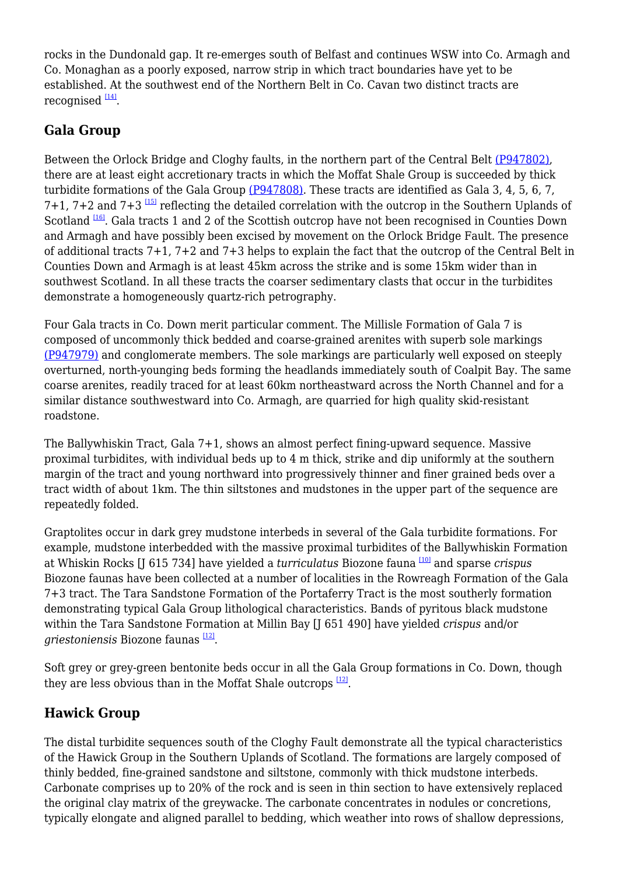rocks in the Dundonald gap. It re-emerges south of Belfast and continues WSW into Co. Armagh and Co. Monaghan as a poorly exposed, narrow strip in which tract boundaries have yet to be established. At the southwest end of the Northern Belt in Co. Cavan two distinct tracts are recognised  $\frac{1141}{2}$ .

# **Gala Group**

Between the Orlock Bridge and Cloghy faults, in the northern part of the Central Belt [\(P947802\),](http://earthwise.bgs.ac.uk/images/5/5e/P947802.jpg) there are at least eight accretionary tracts in which the Moffat Shale Group is succeeded by thick turbidite formations of the Gala Group [\(P947808\).](http://earthwise.bgs.ac.uk/images/6/63/P947808.jpg) These tracts are identified as Gala 3, 4, 5, 6, 7, 7+1, 7+2 and 7+3  $^{115}$  reflecting the detailed correlation with the outcrop in the Southern Uplands of Scotland <sup>[\[16\]](#page--1-0)</sup>. Gala tracts 1 and 2 of the Scottish outcrop have not been recognised in Counties Down and Armagh and have possibly been excised by movement on the Orlock Bridge Fault. The presence of additional tracts 7+1, 7+2 and 7+3 helps to explain the fact that the outcrop of the Central Belt in Counties Down and Armagh is at least 45km across the strike and is some 15km wider than in southwest Scotland. In all these tracts the coarser sedimentary clasts that occur in the turbidites demonstrate a homogeneously quartz-rich petrography.

Four Gala tracts in Co. Down merit particular comment. The Millisle Formation of Gala 7 is composed of uncommonly thick bedded and coarse-grained arenites with superb sole markings [\(P947979\)](http://earthwise.bgs.ac.uk/images/6/6c/P947979.jpg) and conglomerate members. The sole markings are particularly well exposed on steeply overturned, north-younging beds forming the headlands immediately south of Coalpit Bay. The same coarse arenites, readily traced for at least 60km northeastward across the North Channel and for a similar distance southwestward into Co. Armagh, are quarried for high quality skid-resistant roadstone.

The Ballywhiskin Tract, Gala 7+1, shows an almost perfect fining-upward sequence. Massive proximal turbidites, with individual beds up to 4 m thick, strike and dip uniformly at the southern margin of the tract and young northward into progressively thinner and finer grained beds over a tract width of about 1km. The thin siltstones and mudstones in the upper part of the sequence are repeatedly folded.

Graptolites occur in dark grey mudstone interbeds in several of the Gala turbidite formations. For example, mudstone interbedded with the massive proximal turbidites of the Ballywhiskin Formation at Whiskin Rocks [J 615 734] have yielded a *turriculatus* Biozone fauna [\[10\]](#page--1-0) and sparse *crispus* Biozone faunas have been collected at a number of localities in the Rowreagh Formation of the Gala 7+3 tract. The Tara Sandstone Formation of the Portaferry Tract is the most southerly formation demonstrating typical Gala Group lithological characteristics. Bands of pyritous black mudstone within the Tara Sandstone Formation at Millin Bay [J 651 490] have yielded *crispus* and/or griestoniensis Biozone faunas <sup>[\[12\]](#page--1-0)</sup>.

Soft grey or grey-green bentonite beds occur in all the Gala Group formations in Co. Down, though they are less obvious than in the Moffat Shale outcrops  $^{[12]}$  $^{[12]}$  $^{[12]}$ .

# **Hawick Group**

The distal turbidite sequences south of the Cloghy Fault demonstrate all the typical characteristics of the Hawick Group in the Southern Uplands of Scotland. The formations are largely composed of thinly bedded, fine-grained sandstone and siltstone, commonly with thick mudstone interbeds. Carbonate comprises up to 20% of the rock and is seen in thin section to have extensively replaced the original clay matrix of the greywacke. The carbonate concentrates in nodules or concretions, typically elongate and aligned parallel to bedding, which weather into rows of shallow depressions,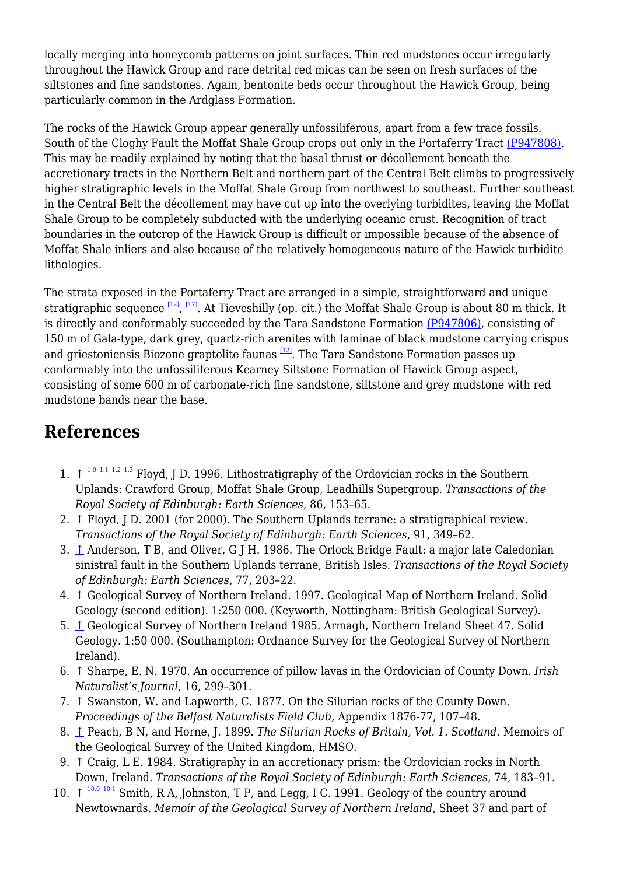locally merging into honeycomb patterns on joint surfaces. Thin red mudstones occur irregularly throughout the Hawick Group and rare detrital red micas can be seen on fresh surfaces of the siltstones and fine sandstones. Again, bentonite beds occur throughout the Hawick Group, being particularly common in the Ardglass Formation.

The rocks of the Hawick Group appear generally unfossiliferous, apart from a few trace fossils. South of the Cloghy Fault the Moffat Shale Group crops out only in the Portaferry Tract [\(P947808\).](http://earthwise.bgs.ac.uk/images/6/63/P947808.jpg) This may be readily explained by noting that the basal thrust or décollement beneath the accretionary tracts in the Northern Belt and northern part of the Central Belt climbs to progressively higher stratigraphic levels in the Moffat Shale Group from northwest to southeast. Further southeast in the Central Belt the décollement may have cut up into the overlying turbidites, leaving the Moffat Shale Group to be completely subducted with the underlying oceanic crust. Recognition of tract boundaries in the outcrop of the Hawick Group is difficult or impossible because of the absence of Moffat Shale inliers and also because of the relatively homogeneous nature of the Hawick turbidite lithologies.

The strata exposed in the Portaferry Tract are arranged in a simple, straightforward and unique stratigraphic sequence  $^{[12]}$  $^{[12]}$  $^{[12]}$ ,  $^{[17]}$  $^{[17]}$  $^{[17]}$ . At Tieveshilly (op. cit.) the Moffat Shale Group is about 80 m thick. It is directly and conformably succeeded by the Tara Sandstone Formation [\(P947806\),](http://earthwise.bgs.ac.uk/images/9/9d/P947806.jpg) consisting of 150 m of Gala-type, dark grey, quartz-rich arenites with laminae of black mudstone carrying crispus and griestoniensis Biozone graptolite faunas  $[12]$ . The Tara Sandstone Formation passes up conformably into the unfossiliferous Kearney Siltstone Formation of Hawick Group aspect, consisting of some 600 m of carbonate-rich fine sandstone, siltstone and grey mudstone with red mudstone bands near the base.

# **References**

- 1.  $\uparrow$  <sup>[1.0](#page--1-0) [1.1](#page--1-0) [1.2](#page--1-0) [1.3](#page--1-0)</sup> Floyd, J D. 1996. Lithostratigraphy of the Ordovician rocks in the Southern Uplands: Crawford Group, Moffat Shale Group, Leadhills Supergroup. *Transactions of the Royal Society of Edinburgh: Earth Sciences*, 86, 153–65.
- 2. [↑](#page--1-0) Floyd, J D. 2001 (for 2000). The Southern Uplands terrane: a stratigraphical review. *Transactions of the Royal Society of Edinburgh: Earth Sciences*, 91, 349–62.
- 3. [↑](#page--1-0) Anderson, T B, and Oliver, G J H. 1986. The Orlock Bridge Fault: a major late Caledonian sinistral fault in the Southern Uplands terrane, British Isles. *Transactions of the Royal Society of Edinburgh: Earth Sciences*, 77, 203–22.
- 4. [↑](#page--1-0) Geological Survey of Northern Ireland. 1997. Geological Map of Northern Ireland. Solid Geology (second edition). 1:250 000. (Keyworth, Nottingham: British Geological Survey).
- 5. [↑](#page--1-0) Geological Survey of Northern Ireland 1985. Armagh, Northern Ireland Sheet 47. Solid Geology. 1:50 000. (Southampton: Ordnance Survey for the Geological Survey of Northern Ireland).
- 6. [↑](#page--1-0) Sharpe, E. N. 1970. An occurrence of pillow lavas in the Ordovician of County Down. *Irish Naturalist's Journal*, 16, 299–301.
- 7. [↑](#page--1-0) Swanston, W. and Lapworth, C. 1877. On the Silurian rocks of the County Down. *Proceedings of the Belfast Naturalists Field Club*, Appendix 1876-77, 107–48.
- 8. [↑](#page--1-0) Peach, B N, and Horne, J. 1899. *The Silurian Rocks of Britain, Vol. 1. Scotland*. Memoirs of the Geological Survey of the United Kingdom, HMSO.
- 9. [↑](#page--1-0) Craig, L E. 1984. Stratigraphy in an accretionary prism: the Ordovician rocks in North Down, Ireland. *Transactions of the Royal Society of Edinburgh: Earth Sciences*, 74, 183–91.
- 10.  $\uparrow$   $\frac{10.0 \text{ }10.1 \text{ }}{2}$  $\frac{10.0 \text{ }10.1 \text{ }}{2}$  $\frac{10.0 \text{ }10.1 \text{ }}{2}$  $\frac{10.0 \text{ }10.1 \text{ }}{2}$  $\frac{10.0 \text{ }10.1 \text{ }}{2}$  Smith, R A, Johnston, T P, and Legg, I C. 1991. Geology of the country around Newtownards. *Memoir of the Geological Survey of Northern Ireland*, Sheet 37 and part of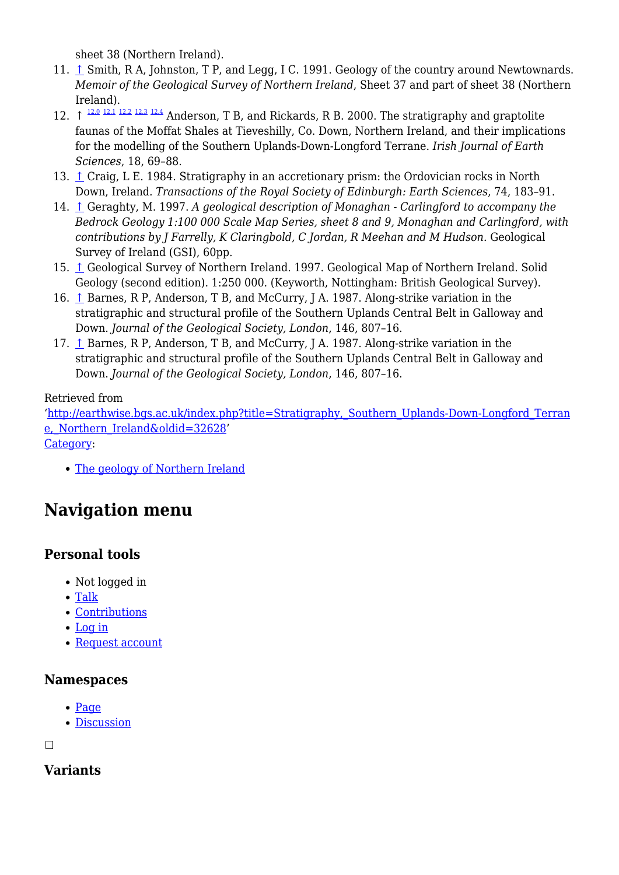sheet 38 (Northern Ireland).

- 11. [↑](#page--1-0) Smith, R A, Johnston, T P, and Legg, I C. 1991. Geology of the country around Newtownards. *Memoir of the Geological Survey of Northern Ireland*, Sheet 37 and part of sheet 38 (Northern Ireland).
- 12.  $\uparrow$   $\frac{12.0 \times 12.1 \times 2.2 \times 12.3 \times 12.4}{2}$  $\frac{12.0 \times 12.1 \times 2.2 \times 12.3 \times 12.4}{2}$  $\frac{12.0 \times 12.1 \times 2.2 \times 12.3 \times 12.4}{2}$  $\frac{12.0 \times 12.1 \times 2.2 \times 12.3 \times 12.4}{2}$  $\frac{12.0 \times 12.1 \times 2.2 \times 12.3 \times 12.4}{2}$  $\frac{12.0 \times 12.1 \times 2.2 \times 12.3 \times 12.4}{2}$  $\frac{12.0 \times 12.1 \times 2.2 \times 12.3 \times 12.4}{2}$  $\frac{12.0 \times 12.1 \times 2.2 \times 12.3 \times 12.4}{2}$  $\frac{12.0 \times 12.1 \times 2.2 \times 12.3 \times 12.4}{2}$  Anderson, T B, and Rickards, R B. 2000. The stratigraphy and graptolite faunas of the Moffat Shales at Tieveshilly, Co. Down, Northern Ireland, and their implications for the modelling of the Southern Uplands-Down-Longford Terrane. *Irish Journal of Earth Sciences*, 18, 69–88.
- 13. [↑](#page--1-0) Craig, L E. 1984. Stratigraphy in an accretionary prism: the Ordovician rocks in North Down, Ireland. *Transactions of the Royal Society of Edinburgh: Earth Sciences*, 74, 183–91.
- 14. [↑](#page--1-0) Geraghty, M. 1997. *A geological description of Monaghan Carlingford to accompany the Bedrock Geology 1:100 000 Scale Map Series, sheet 8 and 9, Monaghan and Carlingford, with contributions by J Farrelly, K Claringbold, C Jordan, R Meehan and M Hudson.* Geological Survey of Ireland (GSI), 60pp.
- 15. [↑](#page--1-0) Geological Survey of Northern Ireland. 1997. Geological Map of Northern Ireland. Solid Geology (second edition). 1:250 000. (Keyworth, Nottingham: British Geological Survey).
- 16. [↑](#page--1-0) Barnes, R P, Anderson, T B, and McCurry, J A. 1987. Along-strike variation in the stratigraphic and structural profile of the Southern Uplands Central Belt in Galloway and Down. *Journal of the Geological Society, London*, 146, 807–16.
- 17. [↑](#page--1-0) Barnes, R P, Anderson, T B, and McCurry, J A. 1987. Along-strike variation in the stratigraphic and structural profile of the Southern Uplands Central Belt in Galloway and Down. *Journal of the Geological Society, London*, 146, 807–16.

Retrieved from

'[http://earthwise.bgs.ac.uk/index.php?title=Stratigraphy,\\_Southern\\_Uplands-Down-Longford\\_Terran](http://earthwise.bgs.ac.uk/index.php?title=Stratigraphy,_Southern_Uplands-Down-Longford_Terrane,_Northern_Ireland&oldid=32628) e, Northern Ireland&oldid=32628' [Category](http://earthwise.bgs.ac.uk/index.php/Special:Categories):

• [The geology of Northern Ireland](http://earthwise.bgs.ac.uk/index.php/Category:The_geology_of_Northern_Ireland)

# **Navigation menu**

## **Personal tools**

- Not logged in
- [Talk](http://earthwise.bgs.ac.uk/index.php/Special:MyTalk)
- [Contributions](http://earthwise.bgs.ac.uk/index.php/Special:MyContributions)
- [Log in](http://earthwise.bgs.ac.uk/index.php?title=Special:UserLogin&returnto=Stratigraphy%2C+Southern+Uplands-Down-Longford+Terrane%2C+Northern+Ireland&returntoquery=action%3Dmpdf)
- [Request account](http://earthwise.bgs.ac.uk/index.php/Special:RequestAccount)

## **Namespaces**

- $\bullet$  [Page](http://earthwise.bgs.ac.uk/index.php/Stratigraphy,_Southern_Uplands-Down-Longford_Terrane,_Northern_Ireland)
- [Discussion](http://earthwise.bgs.ac.uk/index.php?title=Talk:Stratigraphy,_Southern_Uplands-Down-Longford_Terrane,_Northern_Ireland&action=edit&redlink=1)

 $\Box$ 

# **Variants**